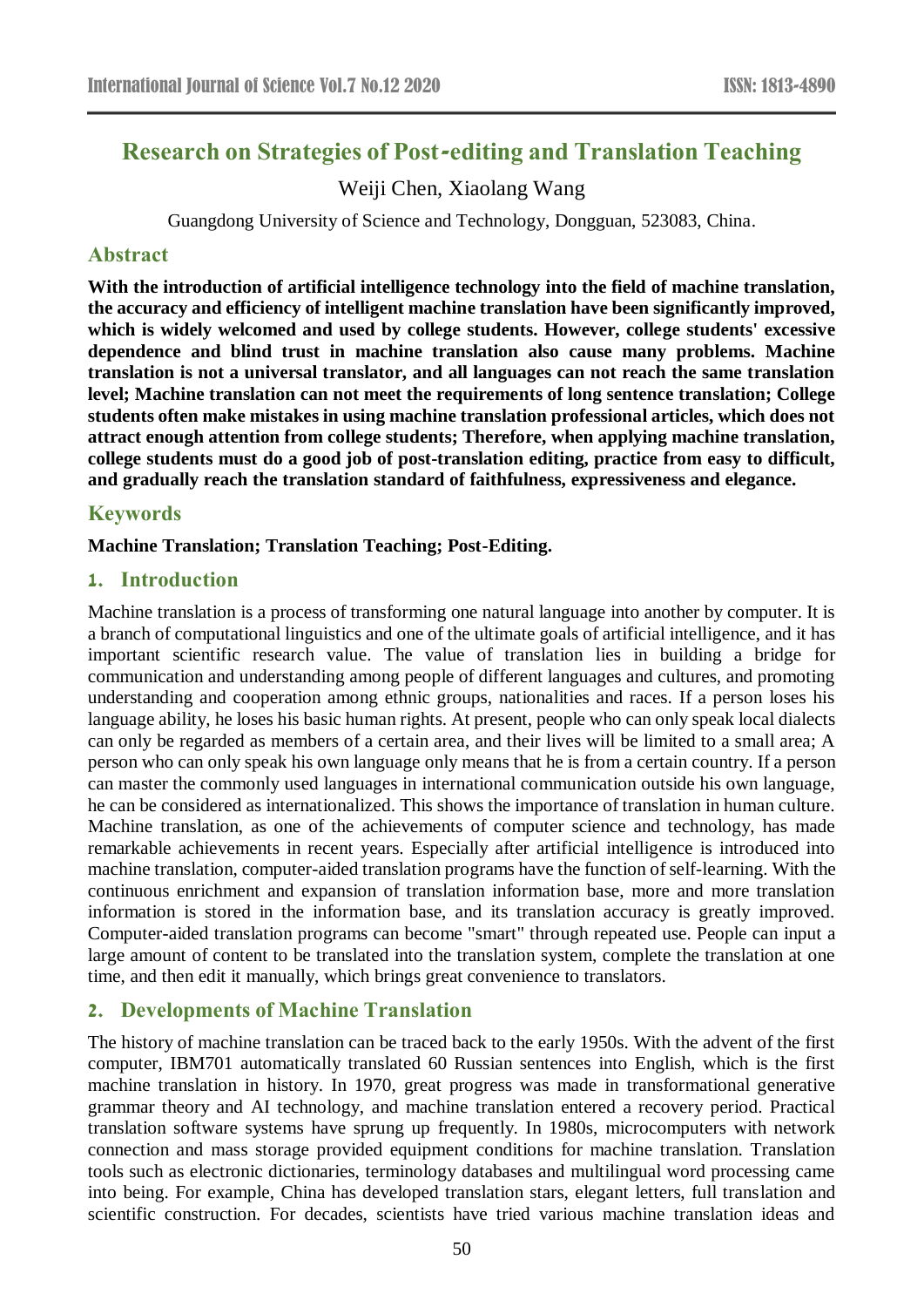# **Research on Strategies of Post-editing and Translation Teaching**

Weiji Chen, Xiaolang Wang

Guangdong University of Science and Technology, Dongguan, 523083, China.

#### **Abstract**

**With the introduction of artificial intelligence technology into the field of machine translation, the accuracy and efficiency of intelligent machine translation have been significantly improved, which is widely welcomed and used by college students. However, college students' excessive dependence and blind trust in machine translation also cause many problems. Machine translation is not a universal translator, and all languages can not reach the same translation level; Machine translation can not meet the requirements of long sentence translation; College students often make mistakes in using machine translation professional articles, which does not attract enough attention from college students; Therefore, when applying machine translation, college students must do a good job of post-translation editing, practice from easy to difficult, and gradually reach the translation standard of faithfulness, expressiveness and elegance.**

## **Keywords**

**Machine Translation; Translation Teaching; Post-Editing.**

#### **1. Introduction**

Machine translation is a process of transforming one natural language into another by computer. It is a branch of computational linguistics and one of the ultimate goals of artificial intelligence, and it has important scientific research value. The value of translation lies in building a bridge for communication and understanding among people of different languages and cultures, and promoting understanding and cooperation among ethnic groups, nationalities and races. If a person loses his language ability, he loses his basic human rights. At present, people who can only speak local dialects can only be regarded as members of a certain area, and their lives will be limited to a small area; A person who can only speak his own language only means that he is from a certain country. If a person can master the commonly used languages in international communication outside his own language, he can be considered as internationalized. This shows the importance of translation in human culture. Machine translation, as one of the achievements of computer science and technology, has made remarkable achievements in recent years. Especially after artificial intelligence is introduced into machine translation, computer-aided translation programs have the function of self-learning. With the continuous enrichment and expansion of translation information base, more and more translation information is stored in the information base, and its translation accuracy is greatly improved. Computer-aided translation programs can become "smart" through repeated use. People can input a large amount of content to be translated into the translation system, complete the translation at one time, and then edit it manually, which brings great convenience to translators.

### **2. Developments of Machine Translation**

The history of machine translation can be traced back to the early 1950s. With the advent of the first computer, IBM701 automatically translated 60 Russian sentences into English, which is the first machine translation in history. In 1970, great progress was made in transformational generative grammar theory and AI technology, and machine translation entered a recovery period. Practical translation software systems have sprung up frequently. In 1980s, microcomputers with network connection and mass storage provided equipment conditions for machine translation. Translation tools such as electronic dictionaries, terminology databases and multilingual word processing came into being. For example, China has developed translation stars, elegant letters, full translation and scientific construction. For decades, scientists have tried various machine translation ideas and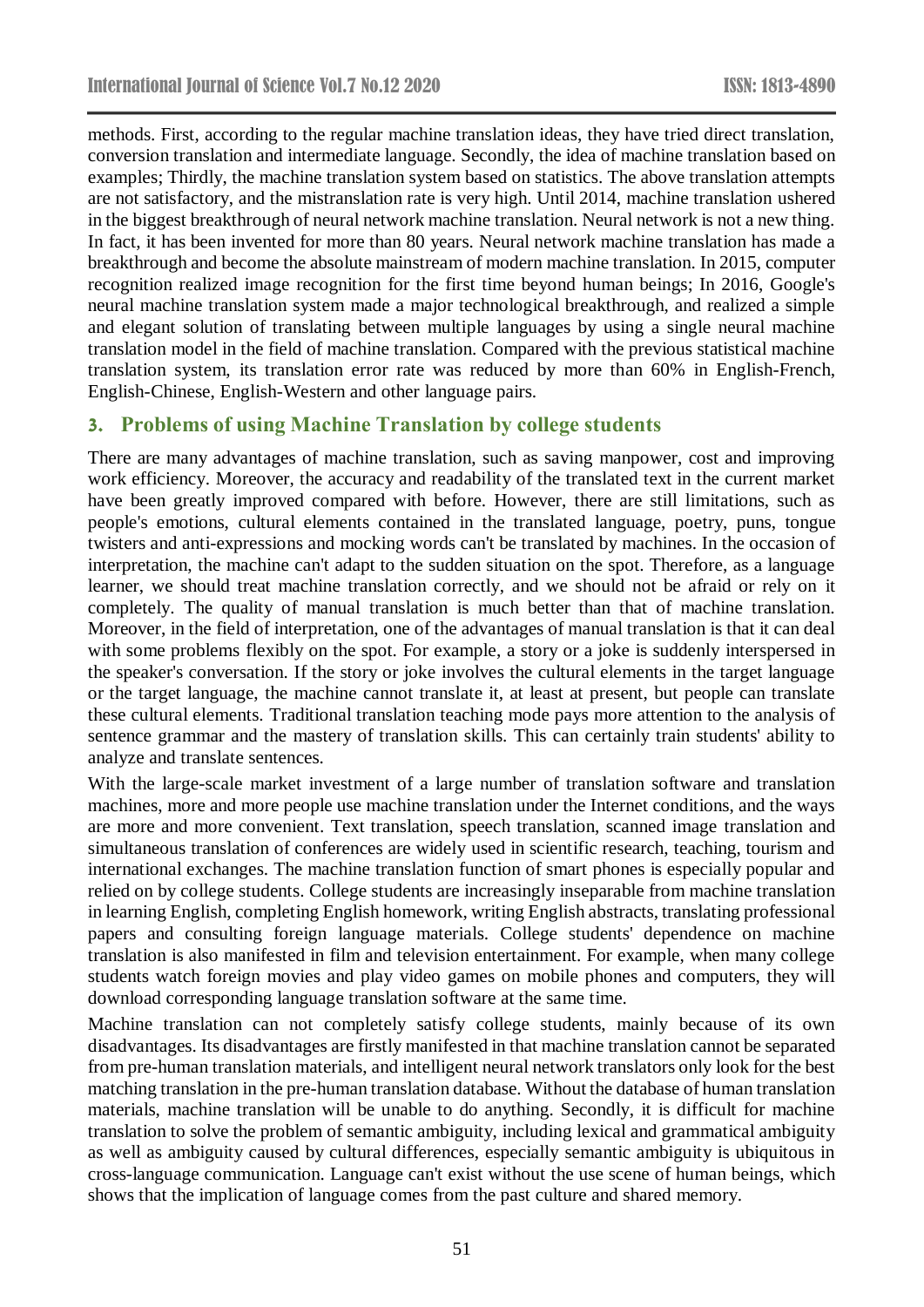methods. First, according to the regular machine translation ideas, they have tried direct translation, conversion translation and intermediate language. Secondly, the idea of machine translation based on examples; Thirdly, the machine translation system based on statistics. The above translation attempts are not satisfactory, and the mistranslation rate is very high. Until 2014, machine translation ushered in the biggest breakthrough of neural network machine translation. Neural network is not a new thing. In fact, it has been invented for more than 80 years. Neural network machine translation has made a breakthrough and become the absolute mainstream of modern machine translation. In 2015, computer recognition realized image recognition for the first time beyond human beings; In 2016, Google's neural machine translation system made a major technological breakthrough, and realized a simple and elegant solution of translating between multiple languages by using a single neural machine translation model in the field of machine translation. Compared with the previous statistical machine translation system, its translation error rate was reduced by more than 60% in English-French, English-Chinese, English-Western and other language pairs.

## **3. Problems of using Machine Translation by college students**

There are many advantages of machine translation, such as saving manpower, cost and improving work efficiency. Moreover, the accuracy and readability of the translated text in the current market have been greatly improved compared with before. However, there are still limitations, such as people's emotions, cultural elements contained in the translated language, poetry, puns, tongue twisters and anti-expressions and mocking words can't be translated by machines. In the occasion of interpretation, the machine can't adapt to the sudden situation on the spot. Therefore, as a language learner, we should treat machine translation correctly, and we should not be afraid or rely on it completely. The quality of manual translation is much better than that of machine translation. Moreover, in the field of interpretation, one of the advantages of manual translation is that it can deal with some problems flexibly on the spot. For example, a story or a joke is suddenly interspersed in the speaker's conversation. If the story or joke involves the cultural elements in the target language or the target language, the machine cannot translate it, at least at present, but people can translate these cultural elements. Traditional translation teaching mode pays more attention to the analysis of sentence grammar and the mastery of translation skills. This can certainly train students' ability to analyze and translate sentences.

With the large-scale market investment of a large number of translation software and translation machines, more and more people use machine translation under the Internet conditions, and the ways are more and more convenient. Text translation, speech translation, scanned image translation and simultaneous translation of conferences are widely used in scientific research, teaching, tourism and international exchanges. The machine translation function of smart phones is especially popular and relied on by college students. College students are increasingly inseparable from machine translation in learning English, completing English homework, writing English abstracts, translating professional papers and consulting foreign language materials. College students' dependence on machine translation is also manifested in film and television entertainment. For example, when many college students watch foreign movies and play video games on mobile phones and computers, they will download corresponding language translation software at the same time.

Machine translation can not completely satisfy college students, mainly because of its own disadvantages. Its disadvantages are firstly manifested in that machine translation cannot be separated from pre-human translation materials, and intelligent neural network translators only look for the best matching translation in the pre-human translation database. Without the database of human translation materials, machine translation will be unable to do anything. Secondly, it is difficult for machine translation to solve the problem of semantic ambiguity, including lexical and grammatical ambiguity as well as ambiguity caused by cultural differences, especially semantic ambiguity is ubiquitous in cross-language communication. Language can't exist without the use scene of human beings, which shows that the implication of language comes from the past culture and shared memory.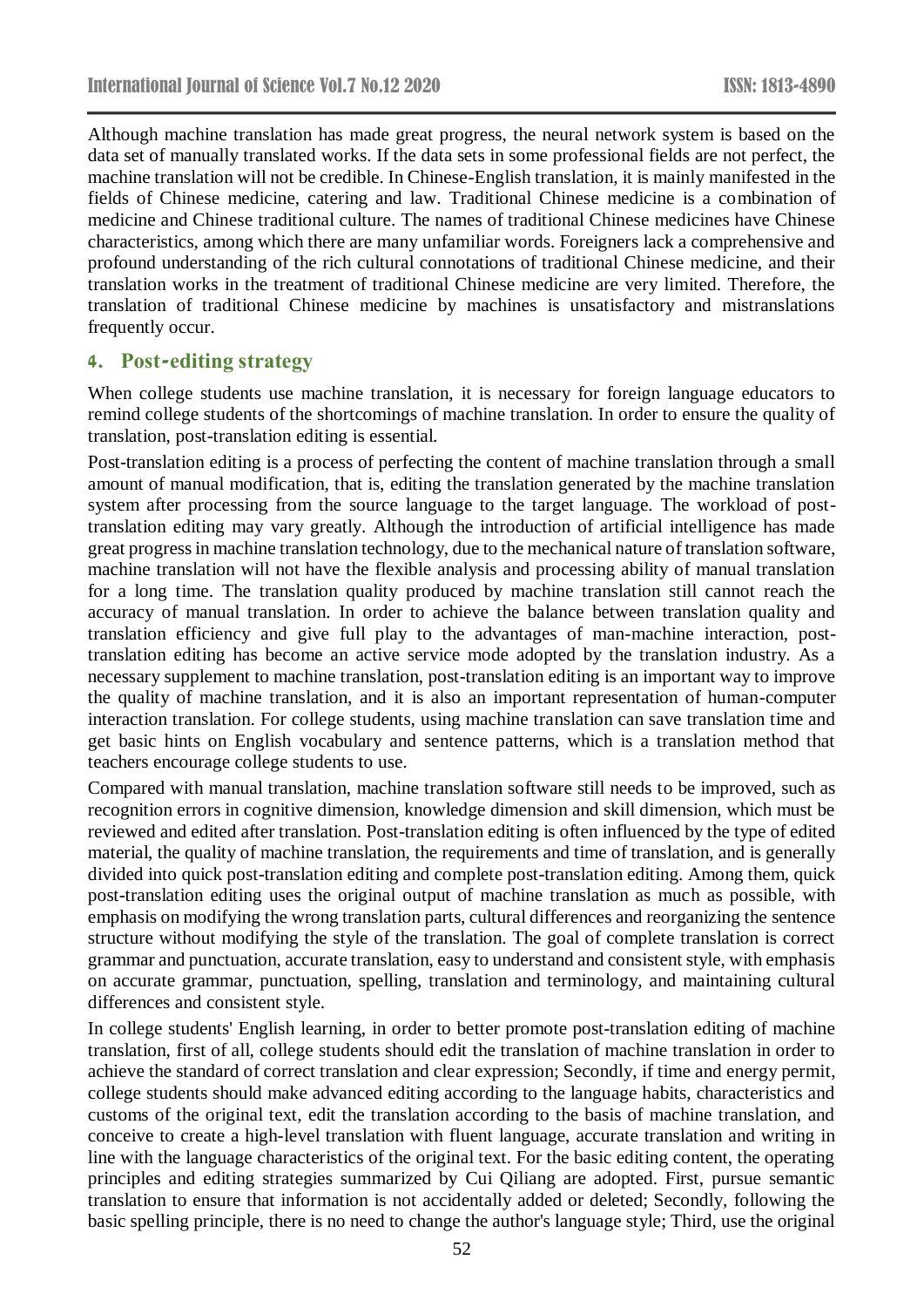Although machine translation has made great progress, the neural network system is based on the data set of manually translated works. If the data sets in some professional fields are not perfect, the machine translation will not be credible. In Chinese-English translation, it is mainly manifested in the fields of Chinese medicine, catering and law. Traditional Chinese medicine is a combination of medicine and Chinese traditional culture. The names of traditional Chinese medicines have Chinese characteristics, among which there are many unfamiliar words. Foreigners lack a comprehensive and profound understanding of the rich cultural connotations of traditional Chinese medicine, and their translation works in the treatment of traditional Chinese medicine are very limited. Therefore, the translation of traditional Chinese medicine by machines is unsatisfactory and mistranslations frequently occur.

#### **4. Post-editing strategy**

When college students use machine translation, it is necessary for foreign language educators to remind college students of the shortcomings of machine translation. In order to ensure the quality of translation, post-translation editing is essential.

Post-translation editing is a process of perfecting the content of machine translation through a small amount of manual modification, that is, editing the translation generated by the machine translation system after processing from the source language to the target language. The workload of posttranslation editing may vary greatly. Although the introduction of artificial intelligence has made great progress in machine translation technology, due to the mechanical nature of translation software, machine translation will not have the flexible analysis and processing ability of manual translation for a long time. The translation quality produced by machine translation still cannot reach the accuracy of manual translation. In order to achieve the balance between translation quality and translation efficiency and give full play to the advantages of man-machine interaction, posttranslation editing has become an active service mode adopted by the translation industry. As a necessary supplement to machine translation, post-translation editing is an important way to improve the quality of machine translation, and it is also an important representation of human-computer interaction translation. For college students, using machine translation can save translation time and get basic hints on English vocabulary and sentence patterns, which is a translation method that teachers encourage college students to use.

Compared with manual translation, machine translation software still needs to be improved, such as recognition errors in cognitive dimension, knowledge dimension and skill dimension, which must be reviewed and edited after translation. Post-translation editing is often influenced by the type of edited material, the quality of machine translation, the requirements and time of translation, and is generally divided into quick post-translation editing and complete post-translation editing. Among them, quick post-translation editing uses the original output of machine translation as much as possible, with emphasis on modifying the wrong translation parts, cultural differences and reorganizing the sentence structure without modifying the style of the translation. The goal of complete translation is correct grammar and punctuation, accurate translation, easy to understand and consistent style, with emphasis on accurate grammar, punctuation, spelling, translation and terminology, and maintaining cultural differences and consistent style.

In college students' English learning, in order to better promote post-translation editing of machine translation, first of all, college students should edit the translation of machine translation in order to achieve the standard of correct translation and clear expression; Secondly, if time and energy permit, college students should make advanced editing according to the language habits, characteristics and customs of the original text, edit the translation according to the basis of machine translation, and conceive to create a high-level translation with fluent language, accurate translation and writing in line with the language characteristics of the original text. For the basic editing content, the operating principles and editing strategies summarized by Cui Qiliang are adopted. First, pursue semantic translation to ensure that information is not accidentally added or deleted; Secondly, following the basic spelling principle, there is no need to change the author's language style; Third, use the original